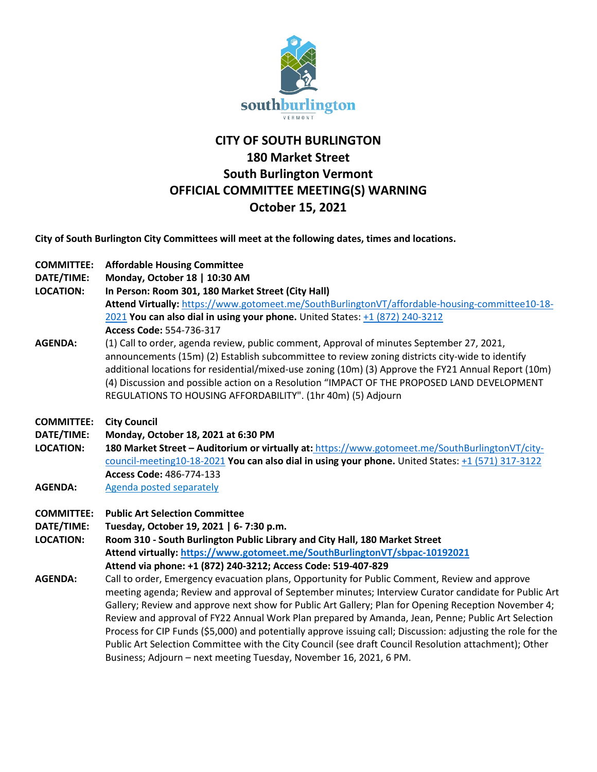

## **CITY OF SOUTH BURLINGTON 180 Market Street South Burlington Vermont OFFICIAL COMMITTEE MEETING(S) WARNING October 15, 2021**

**City of South Burlington City Committees will meet at the following dates, times and locations.** 

- **COMMITTEE: Affordable Housing Committee**
- **DATE/TIME: Monday, October 18 | 10:30 AM**
- **LOCATION: In Person: Room 301, 180 Market Street (City Hall)**
- **Attend Virtually:** [https://www.gotomeet.me/SouthBurlingtonVT/affordable-housing-committee10-18-](https://www.gotomeet.me/SouthBurlingtonVT/affordable-housing-committee10-18-2021) [2021](https://www.gotomeet.me/SouthBurlingtonVT/affordable-housing-committee10-18-2021) **You can also dial in using your phone.** United States: [+1 \(872\) 240-3212](tel:+18722403212,,554736317) **Access Code:** 554-736-317
- **AGENDA:** (1) Call to order, agenda review, public comment, Approval of minutes September 27, 2021, announcements (15m) (2) Establish subcommittee to review zoning districts city-wide to identify additional locations for residential/mixed-use zoning (10m) (3) Approve the FY21 Annual Report (10m) (4) Discussion and possible action on a Resolution "IMPACT OF THE PROPOSED LAND DEVELOPMENT REGULATIONS TO HOUSING AFFORDABILITY". (1hr 40m) (5) Adjourn
- **COMMITTEE: City Council**

**DATE/TIME: Monday, October 18, 2021 at 6:30 PM**

**LOCATION: 180 Market Street – Auditorium or virtually at:** [https://www.gotomeet.me/SouthBurlingtonVT/city](https://www.gotomeet.me/SouthBurlingtonVT/city-council-meeting10-18-2021)[council-meeting10-18-2021](https://www.gotomeet.me/SouthBurlingtonVT/city-council-meeting10-18-2021) **You can also dial in using your phone.** United States: [+1 \(571\) 317-3122](tel:+15713173122,,486774133) **Access Code:** 486-774-133

- AGENDA: [Agenda posted separately](https://sbvt-records.info/WebLink/DocView.aspx?id=259492&dbid=0&repo=SBurl)
- **COMMITTEE: Public Art Selection Committee**

**DATE/TIME: Tuesday, October 19, 2021 | 6- 7:30 p.m.**

**LOCATION: Room 310 - South Burlington Public Library and City Hall, 180 Market Street Attend virtually:<https://www.gotomeet.me/SouthBurlingtonVT/sbpac-10192021> Attend via phone: +1 (872) 240-3212; Access Code: 519-407-829** 

**AGENDA:** Call to order, Emergency evacuation plans, Opportunity for Public Comment, Review and approve meeting agenda; Review and approval of September minutes; Interview Curator candidate for Public Art Gallery; Review and approve next show for Public Art Gallery; Plan for Opening Reception November 4; Review and approval of FY22 Annual Work Plan prepared by Amanda, Jean, Penne; Public Art Selection Process for CIP Funds (\$5,000) and potentially approve issuing call; Discussion: adjusting the role for the Public Art Selection Committee with the City Council (see draft Council Resolution attachment); Other Business; Adjourn – next meeting Tuesday, November 16, 2021, 6 PM.